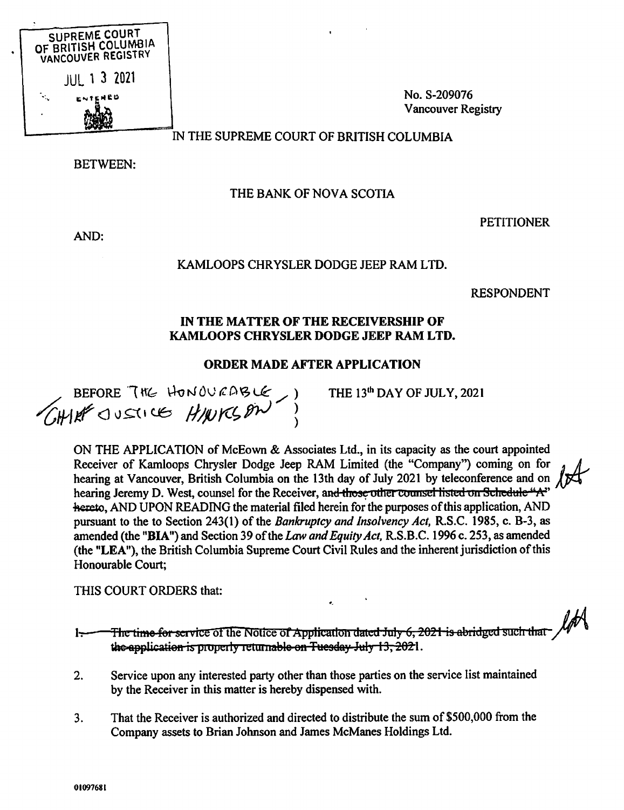

No. S-209076 **Vancouver Registry** 

# IN THE SUPREME COURT OF BRITISH COLUMBIA

**BETWEEN:** 

# THE BANK OF NOVA SCOTIA

AND:

## **PETITIONER**

## KAMLOOPS CHRYSLER DODGE JEEP RAM LTD.

**RESPONDENT** 

#### IN THE MATTER OF THE RECEIVERSHIP OF KAMLOOPS CHRYSLER DODGE JEEP RAM LTD.

## **ORDER MADE AFTER APPLICATION**

BEFORE THE HONOURABLE, )

THE 13<sup>th</sup> DAY OF JULY, 2021

ON THE APPLICATION of McEown & Associates Ltd., in its capacity as the court appointed Receiver of Kamloops Chrysler Dodge Jeep RAM Limited (the "Company") coming on for hearing at Vancouver, British Columbia on the 13th day of July 2021 by teleconference and on hearing Jeremy D. West, counsel for the Receiver, and those other counsel listed on Schedule "A" hereto, AND UPON READING the material filed herein for the purposes of this application, AND pursuant to the to Section 243(1) of the Bankruptcy and Insolvency Act, R.S.C. 1985, c. B-3, as amended (the "BIA") and Section 39 of the Law and Equity Act, R.S.B.C. 1996 c. 253, as amended (the "LEA"), the British Columbia Supreme Court Civil Rules and the inherent jurisdiction of this Honourable Court:

THIS COURT ORDERS that:

The time for service of the Notice of Application dated July 6, 2021 is abridged such that  $\sqrt{ }$ سسيرا the application is properly returnable on Tuesday July 13, 2021.

- $2.$ Service upon any interested party other than those parties on the service list maintained by the Receiver in this matter is hereby dispensed with.
- That the Receiver is authorized and directed to distribute the sum of \$500,000 from the  $3.$ Company assets to Brian Johnson and James McManes Holdings Ltd.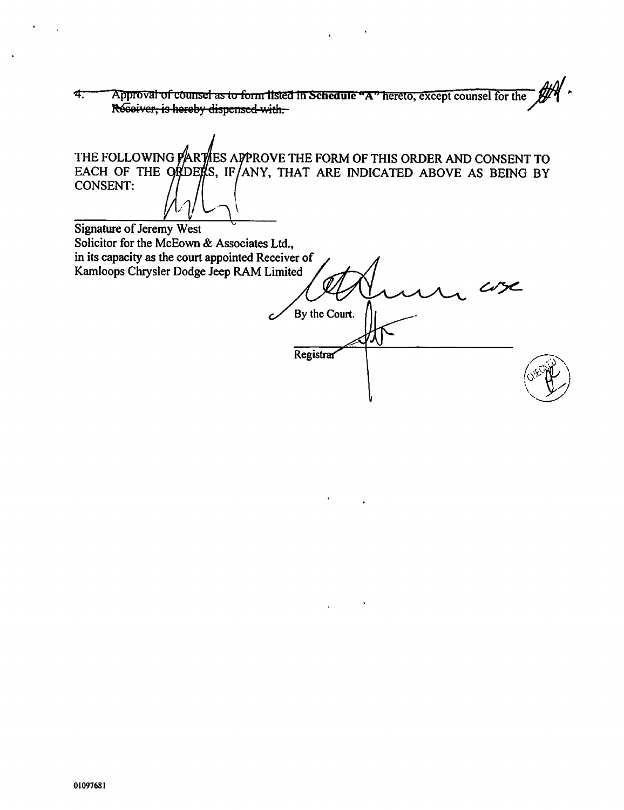Approval of counsel as to form listed in Schedule "A" hereto, except counsel for the 4. Receiver, is hereby dispensed with.

THE FOLLOWING PARTLES APPROVE THE FORM OF THIS ORDER AND CONSENT TO EACH OF THE ORDERS, IF ANY, THAT ARE INDICATED ABOVE AS BEING BY **CONSENT: Signature of Jeremy West** Solicitor for the McEown & Associates Ltd., in its capacity as the court appointed Receiver of Kamloops Chrysler Dodge Jeep RAM Limited By the Court.

Registrar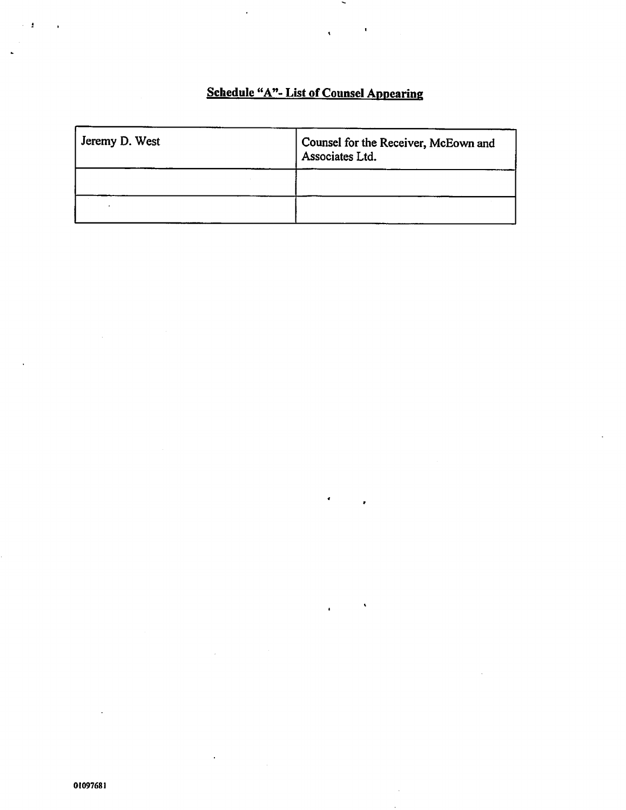# Schedule "A"- List of Counsel Appearing

 $\ddot{\phantom{a}}$ 

 $\blacksquare$ 

| Jeremy D. West | Counsel for the Receiver, McEown and<br>Associates Ltd. |
|----------------|---------------------------------------------------------|
|                |                                                         |
|                |                                                         |

 $\ddot{\phantom{0}}$ 

 $\mathbf{r}$ 

 $\ddot{\phantom{a}}$